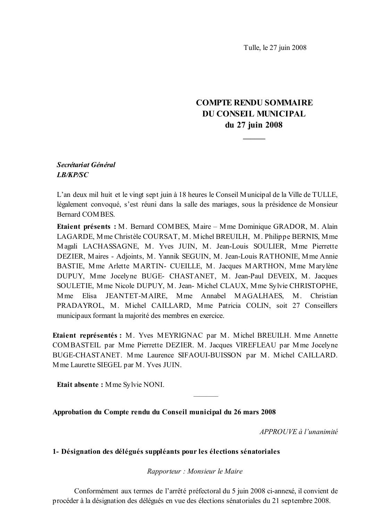Tulle, le 27 juin 2008

# **COMPTE RENDU SOMMAIRE DU CONSEIL MUNICIPAL** du 27 juin 2008

# Secrétariat Général **LB/KP/SC**

L'an deux mil huit et le vingt sept juin à 18 heures le Conseil Municipal de la Ville de TULLE, légalement convoqué, s'est réuni dans la salle des mariages, sous la présidence de Monsieur Bernard COMBES.

Etaient présents : M. Bernard COMBES, Maire – Mme Dominique GRADOR, M. Alain LAGARDE, Mme Christèle COURSAT, M. Michel BREUILH, M. Philippe BERNIS, Mme Magali LACHASSAGNE, M. Yves JUIN, M. Jean-Louis SOULIER, Mme Pierrette DEZIER, Maires - Adjoints, M. Yannik SEGUIN, M. Jean-Louis RATHONIE, Mme Annie BASTIE, Mme Arlette MARTIN- CUEILLE, M. Jacques MARTHON, Mme Marylène DUPUY, Mme Jocelyne BUGE- CHASTANET, M. Jean-Paul DEVEIX, M. Jacques SOULETIE, Mme Nicole DUPUY, M. Jean-Michel CLAUX, Mme Sylvie CHRISTOPHE, Mme Elisa JEANTET-MAIRE, Mme Annabel MAGALHAES, M. Christian PRADAYROL, M. Michel CAILLARD, Mme Patricia COLIN, soit 27 Conseillers municipaux formant la majorité des membres en exercice.

Etaient représentés : M. Yves MEYRIGNAC par M. Michel BREUILH. Mme Annette COMBASTEIL par Mme Pierrette DEZIER. M. Jacques VIREFLEAU par Mme Jocelyne BUGE-CHASTANET. Mme Laurence SIFAOUI-BUISSON par M. Michel CAILLARD. Mme Laurette SIEGEL par M. Yves JUIN.

Etait absente: Mme Sylvie NONI.

Approbation du Compte rendu du Conseil municipal du 26 mars 2008

APPROUVE à l'unanimité

### 1- Désignation des délégués suppléants pour les élections sénatoriales

Rapporteur : Monsieur le Maire

Conformément aux termes de l'arrêté préfectoral du 5 juin 2008 ci-annexé, il convient de procéder à la désignation des délégués en vue des élections sénatoriales du 21 septembre 2008.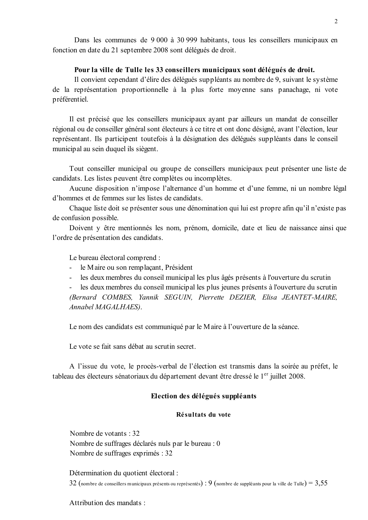Dans les communes de 9 000 à 30 999 habitants, tous les conseillers municipaux en fonction en date du 21 septembre 2008 sont délégués de droit.

### Pour la ville de Tulle les 33 conseillers municipaux sont délégués de droit.

Il convient cependant d'élire des délégués suppléants au nombre de 9, suivant le système de la représentation proportionnelle à la plus forte moyenne sans panachage, ni vote préférentiel.

Il est précisé que les conseillers municipaux ayant par ailleurs un mandat de conseiller régional ou de conseiller général sont électeurs à ce titre et ont donc désigné, avant l'élection, leur représentant. Ils participent toutefois à la désignation des délégués suppléants dans le conseil municipal au sein duquel ils siègent.

Tout conseiller municipal ou groupe de conseillers municipaux peut présenter une liste de candidats. Les listes peuvent être complètes ou incomplètes.

Aucune disposition n'impose l'alternance d'un homme et d'une femme, ni un nombre légal d'hommes et de femmes sur les listes de candidats.

Chaque liste doit se présenter sous une dénomination qui lui est propre afin qu'il n'existe pas de confusion possible.

Doivent y être mentionnés les nom, prénom, domicile, date et lieu de naissance ainsi que l'ordre de présentation des candidats.

Le bureau électoral comprend :

- le Maire ou son remplacant, Président
- les deux membres du conseil municipal les plus âgés présents à l'ouverture du scrutin

les deux membres du conseil municipal les plus jeunes présents à l'ouverture du scrutin (Bernard COMBES, Yannik SEGUIN, Pierrette DEZIER, Elisa JEANTET-MAIRE, Annabel MAGALHAES).

Le nom des candidats est communiqué par le Maire à l'ouverture de la séance.

Le vote se fait sans débat au scrutin secret.

A l'issue du vote, le procès-verbal de l'élection est transmis dans la soirée au préfet, le tableau des électeurs sénatoriaux du département devant être dressé le 1<sup>er</sup> juillet 2008.

## Election des délégués suppléants

#### Résultats du vote

Nombre de votants : 32 Nombre de suffrages déclarés nuls par le bureau : 0 Nombre de suffrages exprimés : 32

Détermination du quotient électoral : 32 (nombre de conseillers municipaux présents ou représentés) : 9 (nombre de suppléants pour la ville de Tulle) =  $3,55$ 

Attribution des mandats :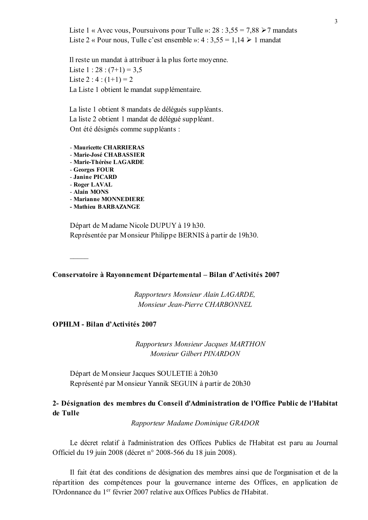Liste 1 « Avec vous, Poursuivons pour Tulle »: 28 : 3,55 = 7,88  $\ge$  7 mandats Liste 2 « Pour nous, Tulle c'est ensemble »:  $4:3,55 = 1,14 \ge 1$  mandat

Il reste un mandat à attribuer à la plus forte moyenne. Liste 1 : 28 :  $(7+1) = 3.5$ Liste 2 :  $4$  :  $(1+1) = 2$ La Liste 1 obtient le mandat supplémentaire.

La liste 1 obtient 8 mandats de délégués suppléants. La liste 2 obtient 1 mandat de délégué suppléant. Ont été désignés comme suppléants :

- Mauricette CHARRIERAS

- Marie-José CHABASSIER
- Marie-Thérèse LAGARDE
- Georges FOUR
- Janine PICARD
- Roger LAVAL
- Alain MONS
- Marianne MONNEDIERE
- Mathieu BARBAZANGE

Départ de Madame Nicole DUPUY à 19 h30. Représentée par Monsieur Philippe BERNIS à partir de 19h30.

#### Conservatoire à Rayonnement Départemental - Bilan d'Activités 2007

Rapporteurs Monsieur Alain LAGARDE, Monsieur Jean-Pierre CHARBONNEL

#### **OPHLM - Bilan d'Activités 2007**

Rapporteurs Monsieur Jacques MARTHON Monsieur Gilbert PINARDON

Départ de Monsieur Jacques SOULETIE à 20h30 Représenté par Monsieur Yannik SEGUIN à partir de 20h30

# 2- Désignation des membres du Conseil d'Administration de l'Office Public de l'Habitat de Tulle

Rapporteur Madame Dominique GRADOR

Le décret relatif à l'administration des Offices Publics de l'Habitat est paru au Journal Officiel du 19 juin 2008 (décret n° 2008-566 du 18 juin 2008).

Il fait état des conditions de désignation des membres ainsi que de l'organisation et de la répartition des compétences pour la gouvernance interne des Offices, en application de l'Ordonnance du 1<sup>er</sup> février 2007 relative aux Offices Publics de l'Habitat.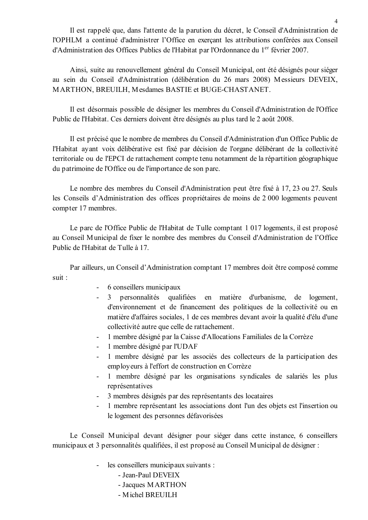Il est rappelé que, dans l'attente de la parution du décret, le Conseil d'Administration de l'OPHLM a continué d'administrer l'Office en exercant les attributions conférées aux Conseil d'Administration des Offices Publics de l'Habitat par l'Ordonnance du 1<sup>er</sup> février 2007.

Ainsi, suite au renouvellement général du Conseil Municipal, ont été désignés pour siéger au sein du Conseil d'Administration (délibération du 26 mars 2008) Messieurs DEVEIX. MARTHON, BREUILH, Mesdames BASTIE et BUGE-CHASTANET.

Il est désormais possible de désigner les membres du Conseil d'Administration de l'Office Public de l'Habitat. Ces derniers doivent être désignés au plus tard le 2 août 2008.

Il est précisé que le nombre de membres du Conseil d'Administration d'un Office Public de l'Habitat avant voix délibérative est fixé par décision de l'organe délibérant de la collectivité territoriale ou de l'EPCI de rattachement compte tenu notamment de la répartition géographique du patrimoine de l'Office ou de l'importance de son parc.

Le nombre des membres du Conseil d'Administration peut être fixé à 17, 23 ou 27. Seuls les Conseils d'Administration des offices propriétaires de moins de 2 000 logements peuvent compter 17 membres.

Le parc de l'Office Public de l'Habitat de Tulle comptant 1 017 logements, il est proposé au Conseil Municipal de fixer le nombre des membres du Conseil d'Administration de l'Office Public de l'Habitat de Tulle à 17

Par ailleurs, un Conseil d'Administration comptant 17 membres doit être composé comme suit :

- 6 conseillers municipaux
- 3 personnalités qualifiées en matière d'urbanisme, de logement, d'environnement et de financement des politiques de la collectivité ou en matière d'affaires sociales, 1 de ces membres devant avoir la qualité d'élu d'une collectivité autre que celle de rattachement.
- 1 membre désigné par la Caisse d'Allocations Familiales de la Corrèze  $\omega$  .
- 1 membre désigné par l'UDAF
- $\mathbf{r}$ 1 membre désigné par les associés des collecteurs de la participation des employeurs à l'effort de construction en Corrèze
- 1 membre désigné par les organisations syndicales de salariés les plus  $\Delta \phi$ représentatives
- 3 membres désignés par des représentants des locataires
- 1 membre représentant les associations dont l'un des objets est l'insertion ou le logement des personnes défavorisées

Le Conseil Municipal devant désigner pour sièger dans cette instance, 6 conseillers municipaux et 3 personnalités qualifiées, il est proposé au Conseil Municipal de désigner :

- les conseillers municipaux suivants :
	- Jean-Paul DEVEIX
	- Jacques MARTHON
	- Michel BREUILH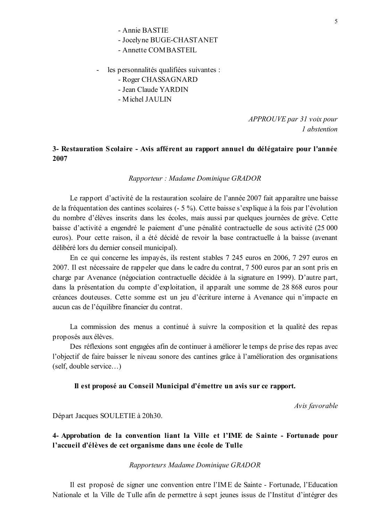- Jocelyne BUGE-CHASTANET
- Annette COMBASTEIL
- les personnalités qualifiées suivantes :
	- Roger CHASSAGNARD
	- Jean Claude YARDIN
	- Michel IAIILIN

APPROUVE par 31 voix pour 1 abstention

## 3- Restauration Scolaire - Avis afférent au rapport annuel du délégataire pour l'année 2007

#### Rapporteur : Madame Dominique GRADOR

Le rapport d'activité de la restauration scolaire de l'année 2007 fait apparaître une baisse de la fréquentation des cantines scolaires (- 5 %). Cette baisse s'explique à la fois par l'évolution du nombre d'élèves inscrits dans les écoles, mais aussi par quelques journées de grève. Cette baisse d'activité a engendré le paiement d'une pénalité contractuelle de sous activité (25 000) euros). Pour cette raison, il a été décidé de revoir la base contractuelle à la baisse (avenant délibéré lors du dernier conseil municipal).

En ce qui concerne les impayés, ils restent stables 7 245 euros en 2006, 7 297 euros en 2007. Il est nécessaire de rappeler que dans le cadre du contrat, 7 500 euros par an sont pris en charge par Avenance (négociation contractuelle décidée à la signature en 1999). D'autre part, dans la présentation du compte d'exploitation, il apparaît une somme de 28 868 euros pour créances douteuses. Cette somme est un jeu d'écriture interne à Avenance qui n'impacte en aucun cas de l'équilibre financier du contrat.

La commission des menus a continué à suivre la composition et la qualité des repas proposés aux élèves.

Des réflexions sont engagées afin de continuer à améliorer le temps de prise des repas avec l'objectif de faire baisser le niveau sonore des cantines grâce à l'amélioration des organisations  $(self, double service...)$ 

#### Il est proposé au Conseil Municipal d'émettre un avis sur ce rapport.

Avis favorable

Départ Jacques SOULETIE à 20h30.

4- Approbation de la convention liant la Ville et l'IME de Sainte - Fortunade pour l'accueil d'élèves de cet organisme dans une école de Tulle

#### Rapporteurs Madame Dominique GRADOR

Il est proposé de signer une convention entre l'IME de Sainte - Fortunade, l'Education Nationale et la Ville de Tulle afin de permettre à sept jeunes issus de l'Institut d'intégrer des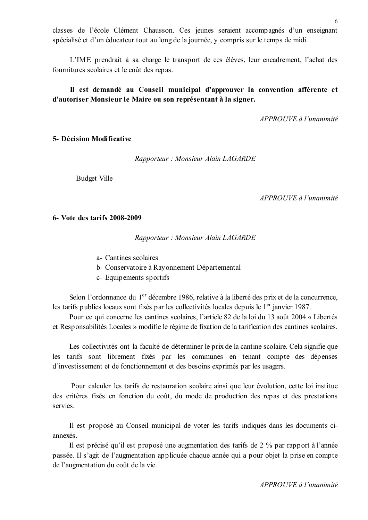classes de l'école Clément Chausson. Ces jeunes seraient accompagnés d'un enseignant spécialisé et d'un éducateur tout au long de la journée, y compris sur le temps de midi.

L'IME prendrait à sa charge le transport de ces élèves, leur encadrement, l'achat des fournitures scolaires et le coût des repas.

## Il est demandé au Conseil municipal d'approuver la convention afférente et d'autoriser Monsieur le Maire ou son représentant à la signer.

APPROUVE à l'unanimité

### 5- Décision Modificative

Rapporteur: Monsieur Alain LAGARDE

**Budget Ville** 

 $APPROUVE$  à l'unanimité

#### 6- Vote des tarifs 2008-2009

Rapporteur: Monsieur Alain LAGARDE

- a- Cantines scolaires
- b- Conservatoire à Rayonnement Départemental
- c- Equipements sportifs

Selon l'ordonnance du 1<sup>er</sup> décembre 1986, relative à la liberté des prix et de la concurrence. les tarifs publics locaux sont fixés par les collectivités locales depuis le 1<sup>er</sup> janvier 1987.

Pour ce qui concerne les cantines scolaires, l'article 82 de la loi du 13 août 2004 « Libertés et Responsabilités Locales » modifie le régime de fixation de la tarification des cantines scolaires.

Les collectivités ont la faculté de déterminer le prix de la cantine scolaire. Cela signifie que les tarifs sont librement fixés par les communes en tenant compte des dépenses d'investissement et de fonctionnement et des besoins exprimés par les usagers.

Pour calculer les tarifs de restauration scolaire ainsi que leur évolution, cette loi institue des critères fixés en fonction du coût, du mode de production des repas et des prestations servies.

Il est proposé au Conseil municipal de voter les tarifs indiqués dans les documents ciannexés.

Il est précisé qu'il est proposé une augmentation des tarifs de 2 % par rapport à l'année passée. Il s'agit de l'augmentation appliquée chaque année qui a pour objet la prise en compte de l'augmentation du coût de la vie.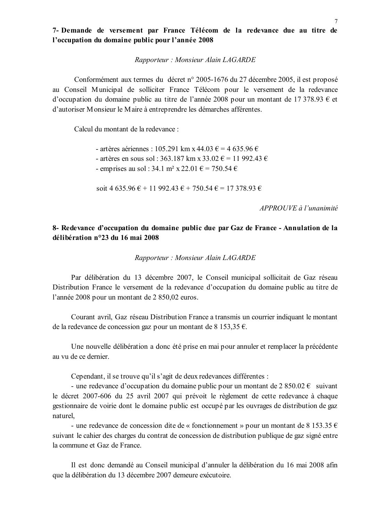## 7- Demande de versement par France Télécom de la redevance due au titre de l'occupation du domaine public pour l'année 2008

Rapporteur: Monsieur Alain LAGARDE

Conformément aux termes du décret n° 2005-1676 du 27 décembre 2005, il est proposé au Conseil Municipal de solliciter France Télécom pour le versement de la redevance d'occupation du domaine public au titre de l'année 2008 pour un montant de 17 378.93  $\epsilon$  et d'autoriser Monsieur le Maire à entreprendre les démarches afférentes.

Calcul du montant de la redevance :

- artères aériennes : 105.291 km x 44.03 € = 4.635.96 € - artères en sous sol : 363.187 km x 33.02 € = 11 992.43 €

- emprises au sol : 34.1 m<sup>2</sup> x 22.01  $\epsilon$  = 750.54  $\epsilon$ 

soit 4 635.96  $\epsilon$  + 11 992.43  $\epsilon$  + 750.54  $\epsilon$  = 17 378.93  $\epsilon$ 

 $APPROIIVE$  à l'unanimité

# 8- Redevance d'occupation du domaine public due par Gaz de France - Annulation de la délibération n°23 du 16 mai 2008

Rapporteur: Monsieur Alain LAGARDE

Par délibération du 13 décembre 2007, le Conseil municipal sollicitait de Gaz réseau Distribution France le versement de la redevance d'occupation du domaine public au titre de l'année 2008 pour un montant de 2 850,02 euros.

Courant avril, Gaz réseau Distribution France a transmis un courrier indiquant le montant de la redevance de concession gaz pour un montant de 8 153,35 €.

Une nouvelle délibération a donc été prise en mai pour annuler et remplacer la précédente au vu de ce dernier.

Cependant, il se trouve qu'il s'agit de deux redevances différentes :

- une redevance d'occupation du domaine public pour un montant de  $2850.02 \in$  suivant le décret 2007-606 du 25 avril 2007 qui prévoit le règlement de cette redevance à chaque gestionnaire de voirie dont le domaine public est occupé par les ouvrages de distribution de gaz naturel.

- une redevance de concession dite de « fonctionnement » pour un montant de 8 153.35  $\epsilon$ suivant le cahier des charges du contrat de concession de distribution publique de gaz signé entre la commune et Gaz de France.

Il est donc demandé au Conseil municipal d'annuler la délibération du 16 mai 2008 afin que la délibération du 13 décembre 2007 demeure exécutoire.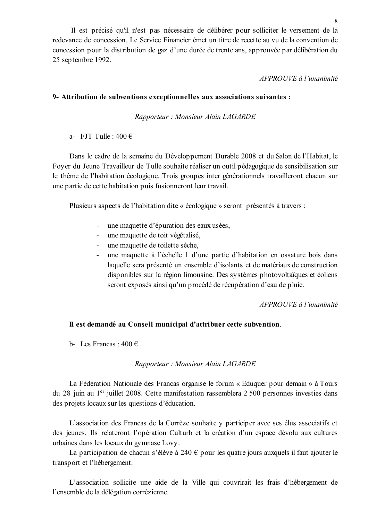Il est précisé qu'il n'est pas nécessaire de délibérer pour solliciter le versement de la redevance de concession. Le Service Financier émet un titre de recette au vu de la convention de concession pour la distribution de gaz d'une durée de trente ans, approuvée par délibération du 25 septembre 1992.

### APPROUVE à l'unanimité

### 9- Attribution de subventions exceptionnelles aux associations suivantes :

Rapporteur: Monsieur Alain LAGARDE

a- FJT Tulle:  $400 \in$ 

Dans le cadre de la semaine du Développement Durable 2008 et du Salon de l'Habitat, le Foyer du Jeune Travailleur de Tulle souhaite réaliser un outil pédagogique de sensibilisation sur le thème de l'habitation écologique. Trois groupes inter générationnels travailleront chacun sur une partie de cette habitation puis fusionneront leur travail.

Plusieurs aspects de l'habitation dite « écologique » seront présentés à travers :

- $\omega_{\rm{max}}$ une maquette d'épuration des eaux usées,
- une maquette de toit végétalisé,  $\Delta \sim 10^4$
- $\omega_{\rm{max}}$ une maquette de toilette sèche,
- une maquette à l'échelle 1 d'une partie d'habitation en ossature bois dans  $\Delta \sim 10^{-11}$ laquelle sera présenté un ensemble d'isolants et de matériaux de construction disponibles sur la région limousine. Des systèmes photovoltaïques et éoliens seront exposés ainsi qu'un procédé de récupération d'eau de pluie.

APPROUVE à l'unanimité

### Il est demandé au Conseil municipal d'attribuer cette subvention.

b- Les Francas  $\cdot$  400  $\in$ 

### Rapporteur: Monsieur Alain LAGARDE

La Fédération Nationale des Francas organise le forum « Eduquer pour demain » à Tours du 28 juin au 1<sup>er</sup> juillet 2008. Cette manifestation rassemblera 2 500 personnes investies dans des projets locaux sur les questions d'éducation.

L'association des Francas de la Corrèze souhaite y participer avec ses élus associatifs et des jeunes. Ils relateront l'opération Culturb et la création d'un espace dévolu aux cultures urbaines dans les locaux du gymnase Lovy.

La participation de chacun s'élève à 240  $\epsilon$  pour les quatre jours auxquels il faut ajouter le transport et l'hébergement.

L'association sollicite une aide de la Ville qui couvrirait les frais d'hébergement de l'ensemble de la délégation corrézienne.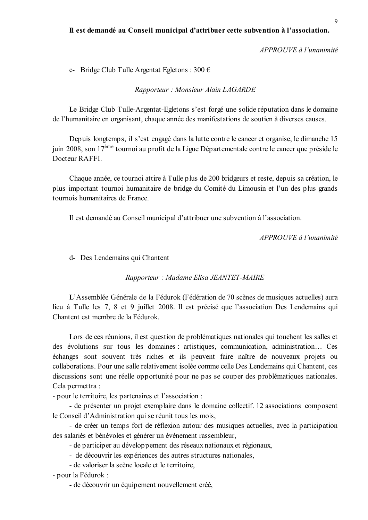### Il est demandé au Conseil municipal d'attribuer cette subvention à l'association.

 $APPROUVE$  à l'unanimité

c- Bridge Club Tulle Argentat Egletons:  $300 \in$ 

Rapporteur: Monsieur Alain LAGARDE

Le Bridge Club Tulle-Argentat-Egletons s'est forgé une solide réputation dans le domaine de l'humanitaire en organisant, chaque année des manifestations de soutien à diverses causes.

Depuis longtemps, il s'est engagé dans la lutte contre le cancer et organise, le dimanche 15 juin 2008, son 17<sup>ème</sup> tournoi au profit de la Ligue Départementale contre le cancer que préside le Docteur RAFFI.

Chaque année, ce tournoi attire à Tulle plus de 200 bridgeurs et reste, depuis sa création, le plus important tournoi humanitaire de bridge du Comité du Limousin et l'un des plus grands tournois humanitaires de France

Il est demandé au Conseil municipal d'attribuer une subvention à l'association.

APPROUVE à l'unanimité

d- Des Lendemains qui Chantent

Rapporteur: Madame Elisa JEANTET-MAIRE

L'Assemblée Générale de la Fédurok (Fédération de 70 scènes de musiques actuelles) aura lieu à Tulle les 7, 8 et 9 juillet 2008. Il est précisé que l'association Des Lendemains qui Chantent est membre de la Fédurok

Lors de ces réunions, il est question de problématiques nationales qui touchent les salles et des évolutions sur tous les domaines : artistiques, communication, administration... Ces échanges sont souvent très riches et ils peuvent faire naître de nouveaux projets ou collaborations. Pour une salle relativement isolée comme celle Des Lendemains qui Chantent, ces discussions sont une réelle opportunité pour ne pas se couper des problématiques nationales. Cela permettra :

- pour le territoire, les partenaires et l'association :

- de présenter un projet exemplaire dans le domaine collectif. 12 associations composent le Conseil d'Administration qui se réunit tous les mois,

- de créer un temps fort de réflexion autour des musiques actuelles, avec la participation des salariés et bénévoles et générer un évènement rassembleur,

- de participer au développement des réseaux nationaux et régionaux,
- de découvrir les expériences des autres structures nationales,
- de valoriser la scène locale et le territoire,

- pour la Fédurok :

- de découvrir un équipement nouvellement créé,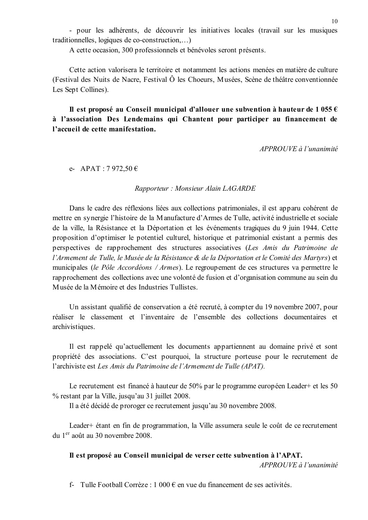- pour les adhérents, de découvrir les initiatives locales (travail sur les musiques traditionnelles, logiques de co-construction....)

A cette occasion, 300 professionnels et bénévoles seront présents.

Cette action valorisera le territoire et notamment les actions menées en matière de culture (Festival des Nuits de Nacre, Festival Ô les Choeurs, Musées, Scène de théâtre conventionnée Les Sept Collines).

# Il est proposé au Conseil municipal d'allouer une subvention à hauteur de 1 055  $\epsilon$ à l'association Des Lendemains qui Chantent pour participer au financement de l'accueil de cette manifestation.

APPROUVE à l'unanimité

e- APAT : 7 972,50 €

### Rapporteur: Monsieur Alain LAGARDE

Dans le cadre des réflexions liées aux collections patrimoniales, il est apparu cohérent de mettre en synergie l'histoire de la Manufacture d'Armes de Tulle, activité industrielle et sociale de la ville, la Résistance et la Déportation et les événements tragiques du 9 juin 1944. Cette proposition d'optimiser le potentiel culturel, historique et patrimonial existant a permis des perspectives de rapprochement des structures associatives (Les Amis du Patrimoine de l'Armement de Tulle, le Musée de la Résistance & de la Déportation et le Comité des Martyrs) et municipales (le Pôle Accordéons / Armes). Le regroupement de ces structures va permettre le rapprochement des collections avec une volonté de fusion et d'organisation commune au sein du Musée de la Mémoire et des Industries Tullistes.

Un assistant qualifié de conservation a été recruté, à compter du 19 novembre 2007, pour réaliser le classement et l'inventaire de l'ensemble des collections documentaires et archivistiques.

Il est rappelé qu'actuellement les documents appartiennent au domaine privé et sont propriété des associations. C'est pourquoi, la structure porteuse pour le recrutement de l'archiviste est Les Amis du Patrimoine de l'Armement de Tulle (APAT).

Le recrutement est financé à hauteur de 50% par le programme européen Leader+ et les 50 % restant par la Ville, jusqu'au 31 juillet 2008.

Il a été décidé de proroger ce recrutement jusqu'au 30 novembre 2008.

Leader+ étant en fin de programmation, la Ville assumera seule le coût de ce recrutement du 1<sup>er</sup> août au 30 novembre 2008.

### Il est proposé au Conseil municipal de verser cette subvention à l'APAT.

APPROUVE à l'unanimité

f- Tulle Football Corrèze : 1 000  $\epsilon$  en vue du financement de ses activités.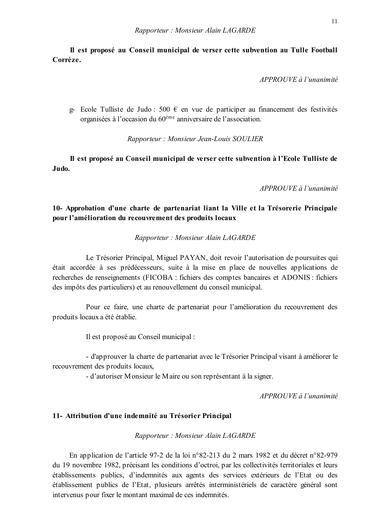Il est proposé au Conseil municipal de verser cette subvention au Tulle Football Corrèze.

APPROUVE à l'unanimité

g- Ecole Tulliste de Judo : 500  $\epsilon$  en vue de participer au financement des festivités organisées à l'occasion du 60<sup>ème</sup> anniversaire de l'association.

Rapporteur: Monsieur Jean-Louis SOULIER

Il est proposé au Conseil municipal de verser cette subvention à l'Ecole Tulliste de Judo.

APPROUVE à l'unanimité

## 10- Approbation d'une charte de partenariat liant la Ville et la Trésorerie Principale pour l'amélioration du recouvrement des produits locaux

Rapporteur: Monsieur Alain LAGARDE

Le Trésorier Principal, Miguel PAYAN, doit revoir l'autorisation de poursuites qui était accordée à ses prédécesseurs, suite à la mise en place de nouvelles applications de recherches de renseignements (FICOBA : fichiers des comptes bancaires et ADONIS : fichiers des impôts des particuliers) et au renouvellement du conseil municipal.

Pour ce faire, une charte de partenariat pour l'amélioration du recouvrement des produits locaux a été établie.

Il est proposé au Conseil municipal :

- d'approuver la charte de partenariat avec le Trésorier Principal visant à améliorer le recouvrement des produits locaux,

- d'autoriser Monsieur le Maire ou son représentant à la signer.

 $APPROUVE$  à l'unanimité

### 11- Attribution d'une indemnité au Trésorier Principal

#### Rapporteur: Monsieur Alain LAGARDE

En application de l'article 97-2 de la loi n°82-213 du 2 mars 1982 et du décret n°82-979 du 19 novembre 1982, précisant les conditions d'octroi, par les collectivités territoriales et leurs établissements publics, d'indemnités aux agents des services extérieurs de l'Etat ou des établissement publics de l'Etat, plusieurs arrêtés interministériels de caractère général sont intervenus pour fixer le montant maximal de ces indemnités.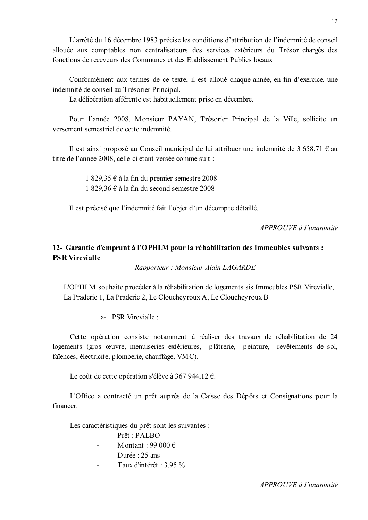L'arrêté du 16 décembre 1983 précise les conditions d'attribution de l'indemnité de conseil allouée aux comptables non centralisateurs des services extérieurs du Trésor chargés des fonctions de receveurs des Communes et des Etablissement Publics locaux

Conformément aux termes de ce texte, il est alloué chaque année, en fin d'exercice, une indemnité de conseil au Trésorier Principal.

La délibération afférente est habituellement prise en décembre.

Pour l'année 2008, Monsieur PAYAN, Trésorier Principal de la Ville, sollicite un versement semestriel de cette indemnité.

Il est ainsi proposé au Conseil municipal de lui attribuer une indemnité de 3 658,71  $\epsilon$  au titre de l'année 2008, celle-ci étant versée comme suit :

- 1 829,35  $\epsilon$  à la fin du premier semestre 2008
- 1 829,36  $\epsilon$  à la fin du second semestre 2008

Il est précisé que l'indemnité fait l'objet d'un décompte détaillé.

 $APPROIIVE$  à l'unanimité

# 12- Garantie d'emprunt à l'OPHLM pour la réhabilitation des immeubles suivants : **PSR Virevialle**

Rapporteur: Monsieur Alain LAGARDE

L'OPHLM souhaite procéder à la réhabilitation de logements sis Immeubles PSR Virevialle, La Praderie 1, La Praderie 2, Le Cloucheyroux A, Le Cloucheyroux B

a- PSR Virevialle ·

Cette opération consiste notamment à réaliser des travaux de réhabilitation de 24 logements (gros œuvre, menuiseries extérieures, plâtrerie, peinture, revêtements de sol, faïences, électricité, plomberie, chauffage, VMC).

Le coût de cette opération s'élève à 367 944,12 €.

L'Office a contracté un prêt auprès de la Caisse des Dépôts et Consignations pour la financer

Les caractéristiques du prêt sont les suivantes :

- Prêt : PALBO
- M ontant: 99 000  $\epsilon$  $\mathbf{r}$
- Durée  $\cdot$  25 ans  $\mathcal{L}^{\mathcal{A}}$
- Taux d'intérêt : 3.95 %  $\mathbf{r}$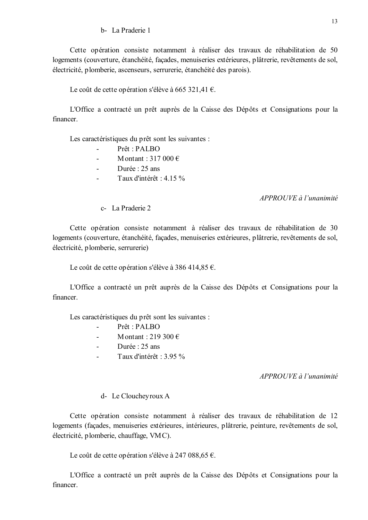### b- La Praderie 1

Cette opération consiste notamment à réaliser des travaux de réhabilitation de 50 logements (couverture, étanchéité, facades, menuiseries extérieures, plâtrerie, revêtements de sol, électricité, plomberie, ascenseurs, serrurerie, étanchéité des parois).

Le coût de cette opération s'élève à 665 321,41  $\epsilon$ .

L'Office a contracté un prêt auprès de la Caisse des Dépôts et Consignations pour la financer.

Les caractéristiques du prêt sont les suivantes :

- Prêt : PALBO
- Montant: 317 000  $\in$
- Durée  $\cdot$  25 ans L.
- Taux d'intérêt : 4.15 %  $\mathbf{r}$

 $APPROUVE$  à l'unanimité

c- La Praderie 2

Cette opération consiste notamment à réaliser des travaux de réhabilitation de 30 logements (couverture, étanchéité, façades, menuiseries extérieures, plâtrerie, revêtements de sol, électricité, plomberie, serrurerie)

Le coût de cette opération s'élève à 386 414,85  $\epsilon$ .

L'Office a contracté un prêt auprès de la Caisse des Dépôts et Consignations pour la financer

Les caractéristiques du prêt sont les suivantes :

- Prêt : PALBO  $\mathbf{r}$
- Montant  $\cdot$  219 300  $\in$  $\overline{a}$
- Durée : 25 ans
- Taux d'intérêt : 3.95 %  $\mathbf{r}$

 $APPROUVE$  à l'unanimité

#### d- Le Cloucheyroux A

Cette opération consiste notamment à réaliser des travaux de réhabilitation de 12 logements (façades, menuiseries extérieures, intérieures, plâtrerie, peinture, revêtements de sol, électricité, plomberie, chauffage, VMC).

Le coût de cette opération s'élève à 247 088,65 €.

L'Office a contracté un prêt auprès de la Caisse des Dépôts et Consignations pour la financer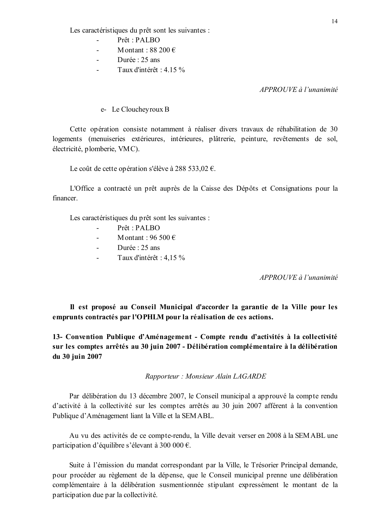Les caractéristiques du prêt sont les suivantes :

- $Prêt \cdot PALBO$
- Montant  $\cdot$  88 200  $\in$
- Durée : 25 ans  $\sim$
- Taux d'intérêt : 4.15 %

APPROUVE à l'unanimité

e- Le Cloucheyroux B

Cette opération consiste notamment à réaliser divers travaux de réhabilitation de 30 logements (menuiseries extérieures, intérieures, plâtrerie, peinture, revêtements de sol. électricité, plomberie, VMC).

Le coût de cette opération s'élève à 288 533,02 €.

L'Office a contracté un prêt auprès de la Caisse des Dépôts et Consignations pour la financer

Les caractéristiques du prêt sont les suivantes :

- $Pr^{\hat{a}t} \cdot PAL \cap$  $\mathbb{R}^2$
- Montant  $\cdot$  96.500 €
- Durée  $\cdot$  25 ans  $\mathbf{r}$
- Taux d'intérêt : 4,15 %  $\sim$

APPROUVE à l'unanimité

Il est proposé au Conseil Municipal d'accorder la garantie de la Ville pour les emprunts contractés par l'OPHLM pour la réalisation de ces actions.

13- Convention Publique d'Aménagement - Compte rendu d'activités à la collectivité sur les comptes arrêtés au 30 juin 2007 - Délibération complémentaire à la délibération du 30 juin 2007

Rapporteur: Monsieur Alain LAGARDE

Par délibération du 13 décembre 2007, le Conseil municipal a approuvé la compte rendu d'activité à la collectivité sur les comptes arrêtés au 30 juin 2007 afférent à la convention Publique d'Aménagement liant la Ville et la SEMABL.

Au vu des activités de ce compte-rendu, la Ville devait verser en 2008 à la SEMABL une participation d'équilibre s'élevant à 300 000 €.

Suite à l'émission du mandat correspondant par la Ville, le Trésorier Principal demande, pour procéder au règlement de la dépense, que le Conseil municipal prenne une délibération complémentaire à la délibération susmentionnée stipulant expressément le montant de la participation due par la collectivité.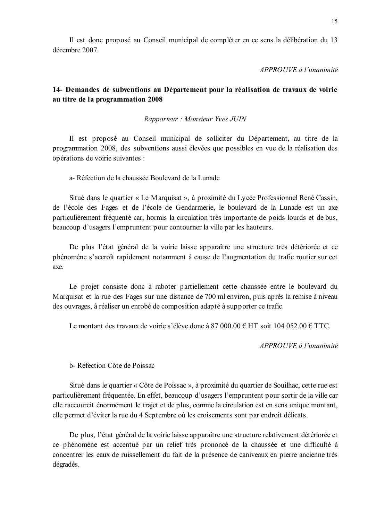Il est donc proposé au Conseil municipal de compléter en ce sens la délibération du 13 décembre 2007

 $APPROUVE \d0$  l'unanimité

## 14- Demandes de subventions au Département pour la réalisation de travaux de voirie au titre de la programmation 2008

Rapporteur: Monsieur Yves JUIN

Il est proposé au Conseil municipal de solliciter du Département, au titre de la programmation 2008, des subventions aussi élevées que possibles en vue de la réalisation des opérations de voirie suivantes :

a-Réfection de la chaussée Boulevard de la Lunade

Situé dans le quartier « Le Marquisat », à proximité du Lycée Professionnel René Cassin, de l'école des Fages et de l'école de Gendarmerie, le boulevard de la Lunade est un axe particulièrement fréquenté car, hormis la circulation très importante de poids lourds et de bus, beaucoup d'usagers l'empruntent pour contourner la ville par les hauteurs.

De plus l'état général de la voirie laisse apparaître une structure très détériorée et ce phénomène s'accroît rapidement notamment à cause de l'augmentation du trafic routier sur cet axe.

Le projet consiste donc à raboter partiellement cette chaussée entre le boulevard du Marquisat et la rue des Fages sur une distance de 700 ml environ, puis après la remise à niveau des ouvrages, à réaliser un enrobé de composition adapté à supporter ce trafic.

Le montant des travaux de voirie s'élève donc à 87 000,00 € HT soit 104 052,00 € TTC.

APPROUVE à l'unanimité

b-Réfection Côte de Poissac

Situé dans le quartier « Côte de Poissac », à proximité du quartier de Souilhac, cette rue est particulièrement fréquentée. En effet, beaucoup d'usagers l'empruntent pour sortir de la ville car elle raccourcit énormément le trajet et de plus, comme la circulation est en sens unique montant, elle permet d'éviter la rue du 4 Septembre où les croisements sont par endroit délicats.

De plus, l'état général de la voirie laisse apparaître une structure relativement détériorée et ce phénomène est accentué par un relief très prononcé de la chaussée et une difficulté à concentrer les eaux de ruissellement du fait de la présence de caniveaux en pierre ancienne très dégradés.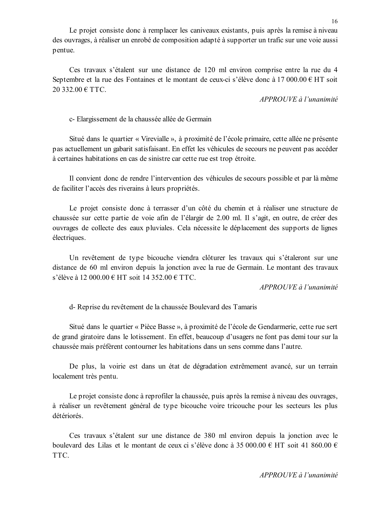Le projet consiste donc à remplacer les caniveaux existants, puis après la remise à niveau des ouvrages, à réaliser un enrobé de composition adapté à supporter un trafic sur une voie aussi pentue.

Ces travaux s'étalent sur une distance de 120 ml environ comprise entre la rue du 4 Septembre et la rue des Fontaines et le montant de ceux-ci s'élève donc à 17 000.00 € HT soit 20 332.00 € TTC.

APPROUVE à l'unanimité

c- Elargissement de la chaussée allée de Germain

Situé dans le quartier « Virevialle », à proximité de l'école primaire, cette allée ne présente pas actuellement un gabarit satisfaisant. En effet les véhicules de secours ne peuvent pas accéder à certaines habitations en cas de sinistre car cette rue est trop étroite.

Il convient donc de rendre l'intervention des véhicules de secours possible et par là même de faciliter l'accès des riverains à leurs propriétés.

Le projet consiste donc à terrasser d'un côté du chemin et à réaliser une structure de chaussée sur cette partie de voie afin de l'élargir de 2.00 ml. Il s'agit, en outre, de créer des ouvrages de collecte des eaux pluviales. Cela nécessite le déplacement des supports de lignes électriques.

Un revêtement de type bicouche viendra clôturer les travaux qui s'étaleront sur une distance de 60 ml environ depuis la jonction avec la rue de Germain. Le montant des travaux s'élève à 12 000,00 € HT soit 14 352,00 € TTC.

APPROUVE à l'unanimité

d-Reprise du revêtement de la chaussée Boulevard des Tamaris

Situé dans le quartier « Pièce Basse », à proximité de l'école de Gendarmerie, cette rue sert de grand giratoire dans le lotissement. En effet, beaucoup d'usagers ne font pas demi tour sur la chaussée mais préfèrent contourner les habitations dans un sens comme dans l'autre.

De plus, la voirie est dans un état de dégradation extrêmement avancé, sur un terrain localement très pentu.

Le projet consiste donc à reprofiler la chaussée, puis après la remise à niveau des ouvrages, à réaliser un revêtement général de type bicouche voire tricouche pour les secteurs les plus détériorés.

Ces travaux s'étalent sur une distance de 380 ml environ depuis la jonction avec le boulevard des Lilas et le montant de ceux ci s'élève donc à 35 000.00 € HT soit 41 860.00 € TTC.

APPROUVE à l'unanimité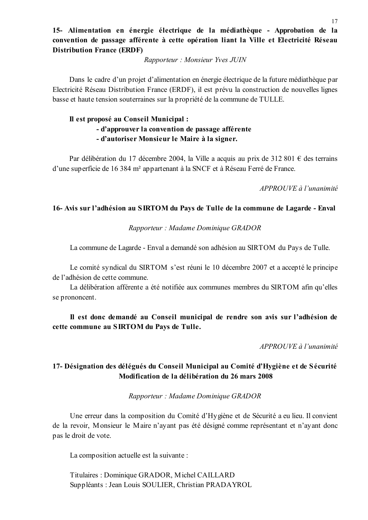# 15- Alimentation en énergie électrique de la médiathèque - Approbation de la convention de passage afférente à cette opération liant la Ville et Electricité Réseau **Distribution France (ERDF)**

Rapporteur: Monsieur Yves JUIN

Dans le cadre d'un projet d'alimentation en énergie électrique de la future médiathèque par Electricité Réseau Distribution France (ERDF), il est prévu la construction de nouvelles lignes basse et haute tension souterraines sur la propriété de la commune de TULLE.

# Il est proposé au Conseil Municipal : - d'approuver la convention de passage afférente - d'autoriser Monsieur le Maire à la signer.

Par délibération du 17 décembre 2004, la Ville a acquis au prix de 312 801  $\epsilon$  des terrains d'une superficie de 16 384 m<sup>2</sup> appartenant à la SNCF et à Réseau Ferré de France.

APPROUVE à l'unanimité

## 16- Avis sur l'adhésion au SIRTOM du Pays de Tulle de la commune de Lagarde - Enval

## Rapporteur: Madame Dominique GRADOR

La commune de Lagarde - Enval a demandé son adhésion au SIRTOM du Pays de Tulle.

Le comité syndical du SIRTOM s'est réuni le 10 décembre 2007 et a accepté le principe de l'adhésion de cette commune.

La délibération afférente a été notifiée aux communes membres du SIRTOM afin qu'elles se prononcent.

Il est donc demandé au Conseil municipal de rendre son avis sur l'adhésion de cette commune au SIRTOM du Pays de Tulle.

APPROUVE à l'unanimité

# 17- Désignation des délégués du Conseil Municipal au Comité d'Hygiène et de Sécurité Modification de la délibération du 26 mars 2008

### Rapporteur: Madame Dominique GRADOR

Une erreur dans la composition du Comité d'Hygiène et de Sécurité a eu lieu. Il convient de la revoir, Monsieur le Maire n'ayant pas été désigné comme représentant et n'ayant donc pas le droit de vote.

La composition actuelle est la suivante :

Titulaires: Dominique GRADOR, Michel CAILLARD Suppléants : Jean Louis SOULIER, Christian PRADAYROL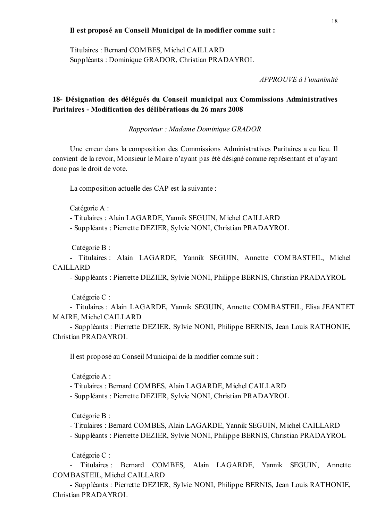## Il est proposé au Conseil Municipal de la modifier comme suit :

Titulaires: Bernard COMBES, Michel CAILLARD Suppléants: Dominique GRADOR, Christian PRADAYROL

 $APPROUVE$  à l'unanimité

## 18- Désignation des délégués du Conseil municipal aux Commissions Administratives Paritaires - Modification des délibérations du 26 mars 2008

Rapporteur : Madame Dominique GRADOR

Une erreur dans la composition des Commissions Administratives Paritaires a eu lieu. Il convient de la revoir, Monsieur le Maire n'ayant pas été désigné comme représentant et n'ayant donc pas le droit de vote.

La composition actuelle des CAP est la suivante :

Catégorie A :

- Titulaires: Alain LAGARDE, Yannik SEGUIN, Michel CAILLARD

- Suppléants : Pierrette DEZIER, Sylvie NONI, Christian PRADAYROL

Catégorie B :

- Titulaires : Alain LAGARDE, Yannik SEGUIN, Annette COMBASTEIL, Michel **CAILLARD** 

- Suppléants: Pierrette DEZIER, Sylvie NONI, Philippe BERNIS, Christian PRADAYROL

Catégorie C:

- Titulaires : Alain LAGARDE, Yannik SEGUIN, Annette COMBASTEIL, Elisa JEANTET **MAIRE, Michel CAILLARD** 

- Suppléants : Pierrette DEZIER, Sylvie NONI, Philippe BERNIS, Jean Louis RATHONIE, Christian PRADAYROL

Il est proposé au Conseil Municipal de la modifier comme suit :

Catégorie A :

- Titulaires: Bernard COMBES, Alain LAGARDE, Michel CAILLARD

- Suppléants: Pierrette DEZIER, Sylvie NONI, Christian PRADAYROL

Catégorie B :

- Titulaires: Bernard COMBES, Alain LAGARDE, Yannik SEGUIN, Michel CAILLARD

- Suppléants: Pierrette DEZIER, Sylvie NONI, Philippe BERNIS, Christian PRADAYROL

Catégorie C :

- Titulaires : Bernard COMBES, Alain LAGARDE, Yannik SEGUIN, Annette COMBASTEIL, Michel CAILLARD

- Suppléants : Pierrette DEZIER, Sylvie NONI, Philippe BERNIS, Jean Louis RATHONIE, Christian PRADAYROL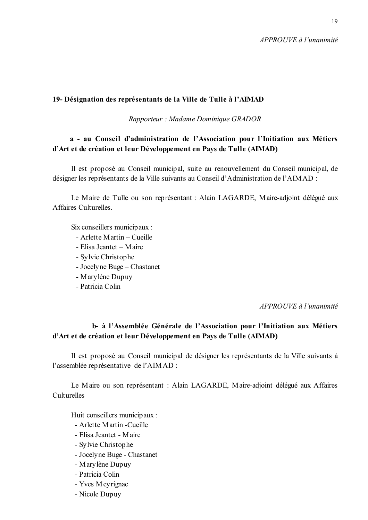$APPROIIVE$  à l'unanimité

## 19- Désignation des représentants de la Ville de Tulle à l'AIMAD

Rapporteur: Madame Dominique GRADOR

# a - au Conseil d'administration de l'Association pour l'Initiation aux Métiers d'Art et de création et leur Développement en Pays de Tulle (AIMAD)

Il est proposé au Conseil municipal, suite au renouvellement du Conseil municipal, de désigner les représentants de la Ville suivants au Conseil d'Administration de l'AIMAD :

Le Maire de Tulle ou son représentant : Alain LAGARDE, Maire-adjoint délégué aux A ffaires Culturelles

Six conseillers municipaux :

- Arlette Martin Cueille
- Elisa Jeantet Maire
- Sylvie Christophe
- Jocelyne Buge Chastanet
- Marylène Dupuy
- Patricia Colin

APPROUVE à l'unanimité

# b- à l'Assemblée Générale de l'Association pour l'Initiation aux Métiers d'Art et de création et leur Développement en Pays de Tulle (AIMAD)

Il est proposé au Conseil municipal de désigner les représentants de la Ville suivants à l'assemblée représentative de l'AIMAD :

Le Maire ou son représentant : Alain LAGARDE, Maire-adjoint délégué aux Affaires Culturelles

Huit conseillers municipaux :

- Arlette Martin -Cueille
- Elisa Jeantet Maire
- Sylvie Christophe
- Jocelyne Buge Chastanet
- Marylène Dupuy
- Patricia Colin
- Yves Meyrignac
- Nicole Dupuy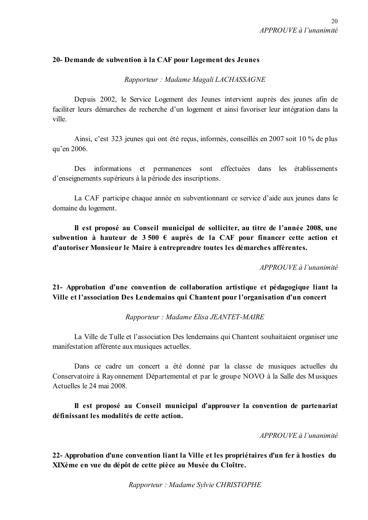## 20- Demande de subvention à la CAF pour Logement des Jeunes

Rapporteur: Madame Magali LACHASSAGNE

Depuis 2002, le Service Logement des Jeunes intervient auprès des jeunes afin de faciliter leurs démarches de recherche d'un logement et ainsi favoriser leur intégration dans la ville.

Ainsi, c'est 323 jeunes qui ont été recus, informés, conseillés en 2007 soit 10 % de plus qu'en 2006.

Des informations et permanences sont effectuées dans les établissements d'enseignements supérieurs à la période des inscriptions.

La CAF participe chaque année en subventionnant ce service d'aide aux jeunes dans le domaine du logement.

Il est proposé au Conseil municipal de solliciter, au titre de l'année 2008, une subvention à hauteur de  $3500 \text{ } \in$  auprès de la CAF pour financer cette action et d'autoriser Monsieur le Maire à entreprendre toutes les démarches afférentes.

APPROUVE à l'unanimité

21- Approbation d'une convention de collaboration artistique et pédagogique liant la Ville et l'association Des Lendemains qui Chantent pour l'organisation d'un concert

Rapporteur: Madame Elisa JEANTET-MAIRE

La Ville de Tulle et l'association Des lendemains qui Chantent souhaitaient organiser une manifestation afférente aux musiques actuelles.

Dans ce cadre un concert a été donné par la classe de musiques actuelles du Conservatoire à Rayonnement Départemental et par le groupe NOVO à la Salle des Musiques Actuelles le 24 mai 2008.

Il est proposé au Conseil municipal d'approuver la convention de partenariat définissant les modalités de cette action.

APPROUVE à l'unanimité

22- Approbation d'une convention liant la Ville et les propriétaires d'un fer à hosties du XIXème en vue du dépôt de cette pièce au Musée du Cloître.

Rapporteur: Madame Sylvie CHRISTOPHE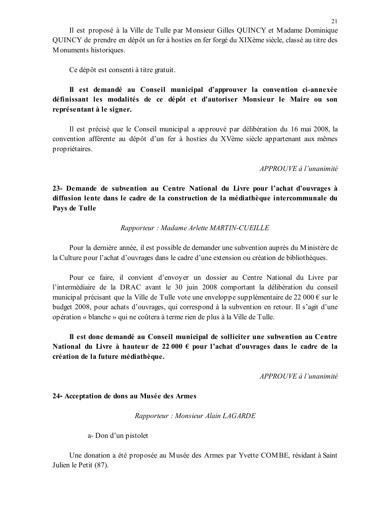Il est proposé à la Ville de Tulle par Monsieur Gilles QUINCY et Madame Dominique OUINCY de prendre en dépôt un fer à hosties en fer forgé du XIXème siècle, classé au titre des Monuments historiques.

Ce dépôt est consenti à titre gratuit.

## Il est demandé au Conseil municipal d'approuver la convention ci-annexée définissant les modalités de ce dépôt et d'autoriser Monsieur le Maire ou son représentant à le signer.

Il est précisé que le Conseil municipal a approuvé par délibération du 16 mai 2008, la convention afférente au dépôt d'un fer à hosties du XVème siècle appartenant aux mêmes propriétaires.

#### $APPROIIVF \d{d} l'unanimit\acute{e}$

23- Demande de subvention au Centre National du Livre pour l'achat d'ouvrages à diffusion lente dans le cadre de la construction de la médiathèque intercommunale du Pays de Tulle

### Rapporteur: Madame Arlette MARTIN-CUEILLE

Pour la dernière année, il est possible de demander une subvention auprès du Ministère de la Culture pour l'achat d'ouvrages dans le cadre d'une extension ou création de bibliothèques.

Pour ce faire, il convient d'envoyer un dossier au Centre National du Livre par l'intermédiaire de la DRAC avant le 30 juin 2008 comportant la délibération du conseil municipal précisant que la Ville de Tulle vote une enveloppe supplémentaire de 22 000 € sur le budget 2008, pour achats d'ouvrages, qui correspond à la subvention en retour. Il s'agit d'une opération « blanche » qui ne coûtera à terme rien de plus à la Ville de Tulle.

Il est donc demandé au Conseil municipal de solliciter une subvention au Centre National du Livre à hauteur de 22 000  $\epsilon$  pour l'achat d'ouvrages dans le cadre de la création de la future médiathèque.

 $APPROUVE$  à l'unanimité

#### 24- Acceptation de dons au Musée des Armes

Rapporteur: Monsieur Alain LAGARDE

a-Don d'un pistolet

Une donation a été proposée au Musée des Armes par Yvette COMBE, résidant à Saint Julien le Petit (87).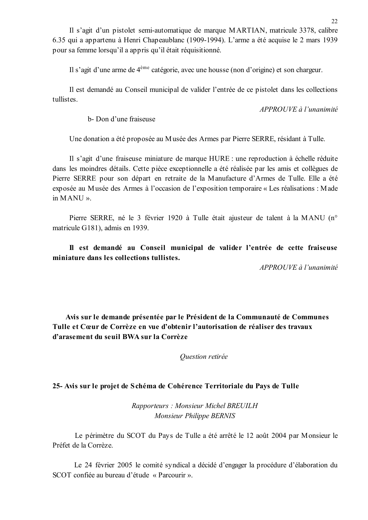Il s'agit d'un pistolet semi-automatique de marque MARTIAN, matricule 3378, calibre 6.35 qui a appartenu à Henri Chapeaublanc (1909-1994). L'arme a été acquise le 2 mars 1939 pour sa femme lorsqu'il a appris qu'il était réquisitionné.

Il s'agit d'une arme de 4<sup>ème</sup> catégorie, avec une housse (non d'origine) et son chargeur.

Il est demandé au Conseil municipal de valider l'entrée de ce pistolet dans les collections tullistes

 $APPROUVE \d{d} l'unanimit \d{e}$ 

b- Don d'une fraiseuse

Une donation a été proposée au Musée des Armes par Pierre SERRE, résidant à Tulle.

Il s'agit d'une fraiseuse miniature de marque HURE : une reproduction à échelle réduite dans les moindres détails. Cette pièce exceptionnelle a été réalisée par les amis et collègues de Pierre SERRE pour son départ en retraite de la Manufacture d'Armes de Tulle. Elle a été exposée au Musée des Armes à l'occasion de l'exposition temporaire « Les réalisations : Made in MANU».

Pierre SERRE, né le 3 février 1920 à Tulle était ajusteur de talent à la MANU (n° matricule G181), admis en 1939.

Il est demandé au Conseil municipal de valider l'entrée de cette fraiseuse miniature dans les collections tullistes.

APPROUVE à l'unanimité

Avis sur le demande présentée par le Président de la Communauté de Communes Tulle et Cœur de Corrèze en vue d'obtenir l'autorisation de réaliser des travaux d'arasement du seuil BWA sur la Corrèze

Ouestion retirée

## 25- Avis sur le projet de Schéma de Cohérence Territoriale du Pays de Tulle

Rapporteurs: Monsieur Michel BREUILH Monsieur Philippe BERNIS

Le périmètre du SCOT du Pays de Tulle a été arrêté le 12 août 2004 par Monsieur le Préfet de la Corrèze.

Le 24 février 2005 le comité syndical a décidé d'engager la procédure d'élaboration du SCOT confiée au bureau d'étude « Parcourir ».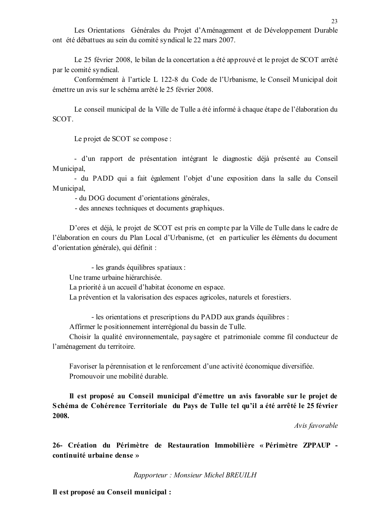Les Orientations Générales du Projet d'Aménagement et de Développement Durable ont été débattues au sein du comité syndical le 22 mars 2007.

Le 25 février 2008, le bilan de la concertation a été approuvé et le projet de SCOT arrêté par le comité syndical.

Conformément à l'article L 122-8 du Code de l'Urbanisme, le Conseil Municipal doit émettre un avis sur le schéma arrêté le 25 février 2008.

Le conseil municipal de la Ville de Tulle a été informé à chaque étape de l'élaboration du SCOT.

Le projet de SCOT se compose :

- d'un rapport de présentation intégrant le diagnostic déjà présenté au Conseil Municipal.

- du PADD qui a fait également l'objet d'une exposition dans la salle du Conseil Municipal,

- du DOG document d'orientations générales,

- des annexes techniques et documents graphiques.

D'ores et déjà, le projet de SCOT est pris en compte par la Ville de Tulle dans le cadre de l'élaboration en cours du Plan Local d'Urbanisme, (et en particulier les éléments du document d'orientation générale), qui définit :

- les grands équilibres spatiaux :

Une trame urbaine hiérarchisée.

La priorité à un accueil d'habitat économe en espace.

La prévention et la valorisation des espaces agricoles, naturels et forestiers.

- les orientations et prescriptions du PADD aux grands équilibres :

Affirmer le positionnement interrégional du bassin de Tulle.

Choisir la qualité environnementale, paysagère et patrimoniale comme fil conducteur de l'aménagement du territoire.

Favoriser la pérennisation et le renforcement d'une activité économique diversifiée. Promouvoir une mobilité durable

Il est proposé au Conseil municipal d'émettre un avis favorable sur le projet de Schéma de Cohérence Territoriale du Pays de Tulle tel qu'il a été arrêté le 25 février 2008.

Avis favorable

26- Création du Périmètre de Restauration Immobilière « Périmètre ZPPAUP continuité urbaine dense »

Rapporteur: Monsieur Michel BREUILH

Il est proposé au Conseil municipal :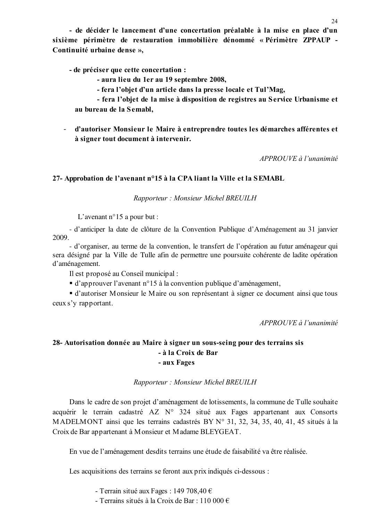- de décider le lancement d'une concertation préalable à la mise en place d'un sixième périmètre de restauration immobilière dénommé « Périmètre ZPPAUP -Continuité urbaine dense ».

- de préciser que cette concertation :
	- aura lieu du 1er au 19 septembre 2008.
	- fera l'objet d'un article dans la presse locale et Tul'Mag,

- fera l'objet de la mise à disposition de registres au Service Urbanisme et au bureau de la Semabl.

- d'autoriser Monsieur le Maire à entreprendre toutes les démarches afférentes et à signer tout document à intervenir.

APPROUVE à l'unanimité

### 27- Approbation de l'avenant n°15 à la CPA liant la Ville et la SEMABL

Rapporteur: Monsieur Michel BREUILH

L'avenant n°15 a pour but :

- d'anticiper la date de clôture de la Convention Publique d'Aménagement au 31 janvier 2009.

- d'organiser, au terme de la convention, le transfert de l'opération au futur aménageur qui sera désigné par la Ville de Tulle afin de permettre une poursuite cohérente de ladite opération d'aménagement.

Il est proposé au Conseil municipal :

• d'approuver l'avenant n°15 à la convention publique d'aménagement,

• d'autoriser Monsieur le Maire ou son représentant à signer ce document ainsi que tous ceux s'y rapportant.

APPROUVE à l'unanimité

## 28- Autorisation donnée au Maire à signer un sous-seing pour des terrains sis - à la Croix de Bar - aux Fages

### Rapporteur: Monsieur Michel BREUILH

Dans le cadre de son projet d'aménagement de lotissements, la commune de Tulle souhaite acquérir le terrain cadastré AZ N° 324 situé aux Fages appartenant aux Consorts MADELMONT ainsi que les terrains cadastrés BY N° 31, 32, 34, 35, 40, 41, 45 situés à la Croix de Bar appartenant à Monsieur et Madame BLEYGEAT.

En vue de l'aménagement desdits terrains une étude de faisabilité va être réalisée.

Les acquisitions des terrains se feront aux prix indiqués ci-dessous :

- Terrain situé aux Fages : 149 708,40 €

- Terrains situés à la Croix de Bar : 110 000  $\epsilon$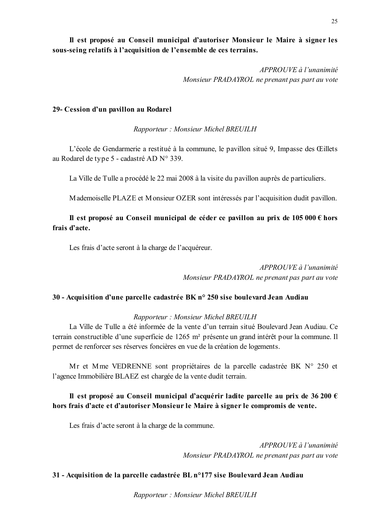Il est proposé au Conseil municipal d'autoriser Monsieur le Maire à signer les sous-seing relatifs à l'acquisition de l'ensemble de ces terrains.

> APPROUVE à l'unanimité Monsieur PRADAYROL ne prenant pas part au vote

#### 29- Cession d'un pavillon au Rodarel

Rapporteur: Monsieur Michel BREUILH

L'école de Gendarmerie a restitué à la commune, le pavillon situé 9, Impasse des Œillets au Rodarel de type 5 - cadastré AD N° 339.

La Ville de Tulle a procédé le 22 mai 2008 à la visite du pavillon auprès de particuliers.

Mademoiselle PLAZE et Monsieur OZER sont intéressés par l'acquisition dudit pavillon.

## Il est proposé au Conseil municipal de céder ce pavillon au prix de 105 000  $\epsilon$  hors frais d'acte.

Les frais d'acte seront à la charge de l'acquéreur.

APPROUVE à l'unanimité Monsieur PRADAYROL ne prenant pas part au vote

### 30 - Acquisition d'une parcelle cadastrée BK n° 250 sise boulevard Jean Audiau

### Rapporteur: Monsieur Michel BREUILH

La Ville de Tulle a été informée de la vente d'un terrain situé Boulevard Jean Audiau. Ce terrain constructible d'une superficie de 1265 m<sup>2</sup> présente un grand intérêt pour la commune. Il permet de renforcer ses réserves foncières en vue de la création de logements.

Mr et Mme VEDRENNE sont propriétaires de la parcelle cadastrée BK N° 250 et l'agence Immobilière BLAEZ est chargée de la vente dudit terrain.

# Il est proposé au Conseil municipal d'acquérir ladite parcelle au prix de 36 200  $\epsilon$ hors frais d'acte et d'autoriser Monsieur le Maire à signer le compromis de vente.

Les frais d'acte seront à la charge de la commune.

APPROUVE à l'unanimité Monsieur PRADAYROL ne prenant pas part au vote

## 31 - Acquisition de la parcelle cadastrée BL n°177 sise Boulevard Jean Audiau

Rapporteur: Monsieur Michel BREUILH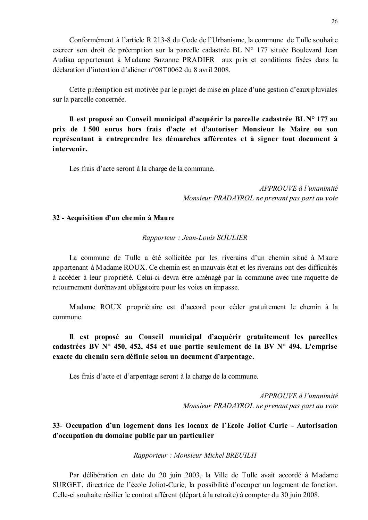Conformément à l'article R 213-8 du Code de l'Urbanisme, la commune de Tulle souhaite exercer son droit de préemption sur la parcelle cadastrée BL N° 177 située Boulevard Jean Audiau appartenant à Madame Suzanne PRADIER aux prix et conditions fixées dans la déclaration d'intention d'aliéner n°08T0062 du 8 avril 2008.

Cette préemption est motivée par le projet de mise en place d'une gestion d'eaux pluviales sur la parcelle concernée.

Il est proposé au Conseil municipal d'acquérir la parcelle cadastrée BLN° 177 au prix de 1500 euros hors frais d'acte et d'autoriser Monsieur le Maire ou son représentant à entreprendre les démarches afférentes et à signer tout document à intervenir.

Les frais d'acte seront à la charge de la commune.

APPROUVE à l'unanimité Monsieur PRADAYROL ne prenant pas part au vote

#### 32 - Acquisition d'un chemin à Maure

Rapporteur : Jean-Louis SOULIER

La commune de Tulle a été sollicitée par les riverains d'un chemin situé à Maure appartenant à Madame ROUX. Ce chemin est en mauvais état et les riverains ont des difficultés à accéder à leur propriété. Celui-ci devra être aménagé par la commune avec une raquette de retournement dorénavant obligatoire pour les voies en impasse.

Madame ROUX propriétaire est d'accord pour céder gratuitement le chemin à la commune.

# Il est proposé au Conseil municipal d'acquérir gratuitement les parcelles cadastrées BV N° 450, 452, 454 et une partie seulement de la BV N° 494. L'emprise exacte du chemin sera définie selon un document d'arpentage.

Les frais d'acte et d'arpentage seront à la charge de la commune.

 $APPROUVE \d{d} l'unanimit$ Monsieur PRADAYROL ne prenant pas part au vote

# 33- Occupation d'un logement dans les locaux de l'Ecole Joliot Curie - Autorisation d'occupation du domaine public par un particulier

Rapporteur: Monsieur Michel BREUILH

Par délibération en date du 20 juin 2003, la Ville de Tulle avait accordé à Madame SURGET, directrice de l'école Joliot-Curie, la possibilité d'occuper un logement de fonction. Celle-ci souhaite résilier le contrat afférent (départ à la retraite) à compter du 30 juin 2008.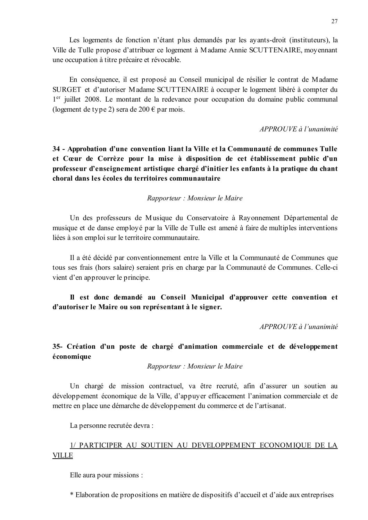En conséquence, il est proposé au Conseil municipal de résilier le contrat de Madame SURGET et d'autoriser Madame SCUTTENAIRE à occuper le logement libéré à compter du 1<sup>er</sup> juillet 2008. Le montant de la redevance pour occupation du domaine public communal (logement de type 2) sera de 200  $\epsilon$  par mois.

APPROUVE à l'unanimité

34 - Approbation d'une convention liant la Ville et la Communauté de communes Tulle et Cœur de Corrèze pour la mise à disposition de cet établissement public d'un professeur d'enseignement artistique chargé d'initier les enfants à la pratique du chant choral dans les écoles du territoires communautaire

Rapporteur : Monsieur le Maire

Un des professeurs de Musique du Conservatoire à Rayonnement Départemental de musique et de danse employé par la Ville de Tulle est amené à faire de multiples interventions liées à son emploi sur le territoire communautaire.

Il a été décidé par conventionnement entre la Ville et la Communauté de Communes que tous ses frais (hors salaire) seraient pris en charge par la Communauté de Communes. Celle-ci vient d'en approuver le principe.

Il est donc demandé au Conseil Municipal d'approuver cette convention et d'autoriser le Maire ou son représentant à le signer.

APPROUVE à l'unanimité

# 35- Création d'un poste de chargé d'animation commerciale et de développement économique

Rapporteur : Monsieur le Maire

Un chargé de mission contractuel, va être recruté, afin d'assurer un soutien au développement économique de la Ville, d'appuyer efficacement l'animation commerciale et de mettre en place une démarche de développement du commerce et de l'artisanat.

La personne recrutée devra :

# 1/ PARTICIPER AU SOUTIEN AU DEVELOPPEMENT ECONOMIQUE DE LA **VILLE**

Elle aura pour missions :

\* Elaboration de propositions en matière de dispositifs d'accueil et d'aide aux entreprises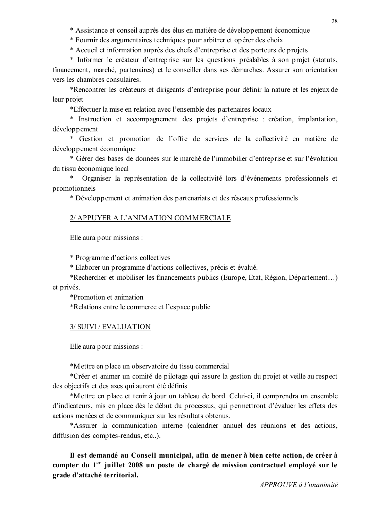\* Assistance et conseil auprès des élus en matière de développement économique

\* Fournir des argumentaires techniques pour arbitrer et opérer des choix

\* Accueil et information auprès des chefs d'entreprise et des porteurs de projets

\* Informer le créateur d'entreprise sur les questions préalables à son projet (statuts, financement, marché, partenaires) et le conseiller dans ses démarches. Assurer son orientation vers les chambres consulaires

\*Rencontrer les créateurs et dirigeants d'entreprise pour définir la nature et les enjeux de leur projet

\*Effectuer la mise en relation avec l'ensemble des partenaires locaux

\* Instruction et accompagnement des projets d'entreprise : création, implantation, développement

\* Gestion et promotion de l'offre de services de la collectivité en matière de développement économique

\* Gérer des bases de données sur le marché de l'immobilier d'entreprise et sur l'évolution du tissu économique local

 $\ast$ Organiser la représentation de la collectivité lors d'événements professionnels et promotionnels

\* Développement et animation des partenariats et des réseaux professionnels

## 2/ APPUYER A L'ANIMATION COMMERCIALE

Elle aura pour missions :

\* Programme d'actions collectives

\* Elaborer un programme d'actions collectives, précis et évalué.

\*Rechercher et mobiliser les financements publics (Europe, Etat, Région, Département...) et privés.

\*Promotion et animation \*Relations entre le commerce et l'espace public

### 3/ SUIVI / EVALUATION

Elle aura pour missions :

\*Mettre en place un observatoire du tissu commercial

\*Créer et animer un comité de pilotage qui assure la gestion du projet et veille au respect des objectifs et des axes qui auront été définis

\*Mettre en place et tenir à jour un tableau de bord. Celui-ci, il comprendra un ensemble d'indicateurs, mis en place dès le début du processus, qui permettront d'évaluer les effets des actions menées et de communiquer sur les résultats obtenus.

\*Assurer la communication interne (calendrier annuel des réunions et des actions, diffusion des comptes-rendus, etc..).

Il est demandé au Conseil municipal, afin de mener à bien cette action, de créer à compter du 1<sup>er</sup> juillet 2008 un poste de chargé de mission contractuel employé sur le grade d'attaché territorial.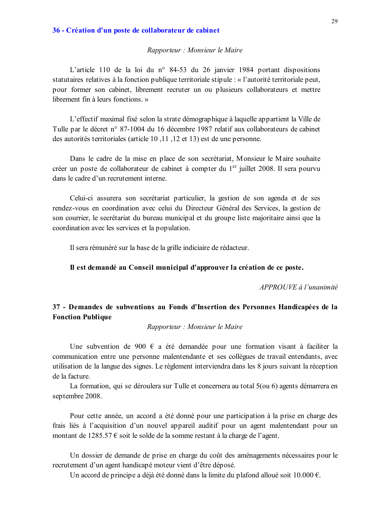#### 36 - Création d'un poste de collaborateur de cabinet

#### Rapporteur : Monsieur le Maire

L'article 110 de la loi du nº 84-53 du 26 janvier 1984 portant dispositions statutaires relatives à la fonction publique territoriale stipule : « l'autorité territoriale peut, pour former son cabinet, librement recruter un ou plusieurs collaborateurs et mettre librement fin à leurs fonctions »

L'effectif maximal fixé selon la strate démographique à laquelle appartient la Ville de Tulle par le décret n° 87-1004 du 16 décembre 1987 relatif aux collaborateurs de cabinet des autorités territoriales (article 10, 11, 12 et 13) est de une personne.

Dans le cadre de la mise en place de son secrétariat, Monsieur le Maire souhaite créer un poste de collaborateur de cabinet à compter du 1<sup>er</sup> juillet 2008. Il sera pourvu dans le cadre d'un recrutement interne.

Celui-ci assurera son secrétariat particulier, la gestion de son agenda et de ses rendez-vous en coordination avec celui du Directeur Général des Services, la gestion de son courrier, le secrétariat du bureau municipal et du groupe liste majoritaire ainsi que la coordination avec les services et la population.

Il sera rémunéré sur la base de la grille indiciaire de rédacteur.

#### Il est demandé au Conseil municipal d'approuver la création de ce poste.

APPROUVE à l'unanimité

## 37 - Demandes de subventions au Fonds d'Insertion des Personnes Handicapées de la **Fonction Publique**

#### Rapporteur : Monsieur le Maire

Une subvention de 900  $\epsilon$  a été demandée pour une formation visant à faciliter la communication entre une personne malentendante et ses collègues de travail entendants, avec utilisation de la langue des signes. Le règlement interviendra dans les 8 jours suivant la réception de la facture

La formation, qui se déroulera sur Tulle et concernera au total 5(ou 6) agents démarrera en septembre 2008.

Pour cette année, un accord a été donné pour une participation à la prise en charge des frais liés à l'acquisition d'un nouvel appareil auditif pour un agent malentendant pour un montant de 1285.57  $\epsilon$  soit le solde de la somme restant à la charge de l'agent.

Un dossier de demande de prise en charge du coût des aménagements nécessaires pour le recrutement d'un agent handicapé moteur vient d'être déposé.

Un accord de principe a déjà été donné dans la limite du plafond alloué soit  $10.000 \text{ } \epsilon$ .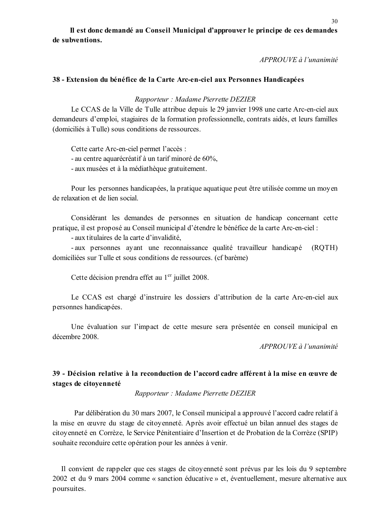Il est donc demandé au Conseil Municipal d'approuver le principe de ces demandes de subventions.

APPROUVE à l'unanimité

#### 38 - Extension du bénéfice de la Carte Arc-en-ciel aux Personnes Handicapées

Rapporteur: Madame Pierrette DEZIER

Le CCAS de la Ville de Tulle attribue depuis le 29 janvier 1998 une carte Arc-en-ciel aux demandeurs d'emploi, stagiaires de la formation professionnelle, contrats aidés, et leurs familles (domiciliés à Tulle) sous conditions de ressources.

Cette carte Arc-en-ciel permet l'accès :

- au centre aquarécréatif à un tarif minoré de 60%,

- aux musées et à la médiathèque gratuitement.

Pour les personnes handicapées, la pratique aquatique peut être utilisée comme un moyen de relaxation et de lien social

Considérant les demandes de personnes en situation de handicap concernant cette pratique, il est proposé au Conseil municipal d'étendre le bénéfice de la carte Arc-en-ciel :

- aux titulaires de la carte d'invalidité,

- aux personnes avant une reconnaissance qualité travailleur handicapé  $(ROTH)$ domiciliées sur Tulle et sous conditions de ressources. (cf barème)

Cette décision prendra effet au 1<sup>er</sup> juillet 2008.

Le CCAS est chargé d'instruire les dossiers d'attribution de la carte Arc-en-ciel aux personnes handicapées.

Une évaluation sur l'impact de cette mesure sera présentée en conseil municipal en décembre 2008

APPROUVE à l'unanimité

## 39 - Décision relative à la reconduction de l'accord cadre afférent à la mise en œuvre de stages de citoyenneté

Rapporteur: Madame Pierrette DEZIER

Par délibération du 30 mars 2007, le Conseil municipal a approuvé l'accord cadre relatif à la mise en œuvre du stage de citoyenneté. Après avoir effectué un bilan annuel des stages de citoyenneté en Corrèze, le Service Pénitentiaire d'Insertion et de Probation de la Corrèze (SPIP) souhaite reconduire cette opération pour les années à venir.

Il convient de rappeler que ces stages de citoyenneté sont prévus par les lois du 9 septembre 2002 et du 9 mars 2004 comme « sanction éducative » et, éventuellement, mesure alternative aux poursuites.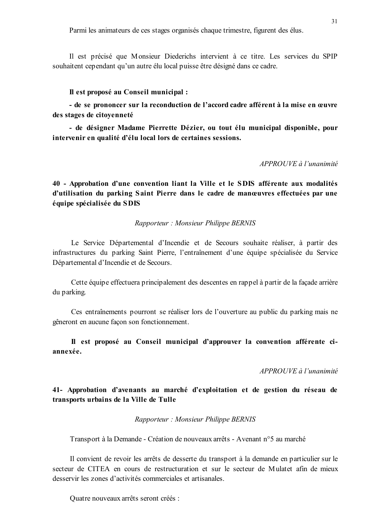Il est précisé que Monsieur Diederichs intervient à ce titre. Les services du SPIP souhaitent cependant qu'un autre élu local puisse être désigné dans ce cadre.

#### Il est proposé au Conseil municipal :

- de se prononcer sur la reconduction de l'accord cadre afférent à la mise en œuvre des stages de citovenneté

- de désigner Madame Pierrette Dézier, ou tout élu municipal disponible, pour intervenir en qualité d'élu local lors de certaines sessions.

#### APPROUVE à l'unanimité

40 - Approbation d'une convention liant la Ville et le SDIS afférente aux modalités d'utilisation du parking Saint Pierre dans le cadre de manœuvres effectuées par une équipe spécialisée du SDIS

#### Rapporteur: Monsieur Philippe BERNIS

Le Service Départemental d'Incendie et de Secours souhaite réaliser, à partir des infrastructures du parking Saint Pierre, l'entraînement d'une équipe spécialisée du Service Départemental d'Incendie et de Secours.

Cette équipe effectuera principalement des descentes en rappel à partir de la facade arrière du parking.

Ces entraînements pourront se réaliser lors de l'ouverture au public du parking mais ne gêneront en aucune façon son fonctionnement.

Il est proposé au Conseil municipal d'approuver la convention afférente ciannexée.

#### $APPROIIVE$  à l'unanimité

41- Approbation d'avenants au marché d'exploitation et de gestion du réseau de transports urbains de la Ville de Tulle

#### Rapporteur: Monsieur Philippe BERNIS

Transport à la Demande - Création de nouveaux arrêts - Avenant n°5 au marché

Il convient de revoir les arrêts de desserte du transport à la demande en particulier sur le secteur de CITEA en cours de restructuration et sur le secteur de Mulatet afin de mieux desservir les zones d'activités commerciales et artisanales

Quatre nouveaux arrêts seront créés :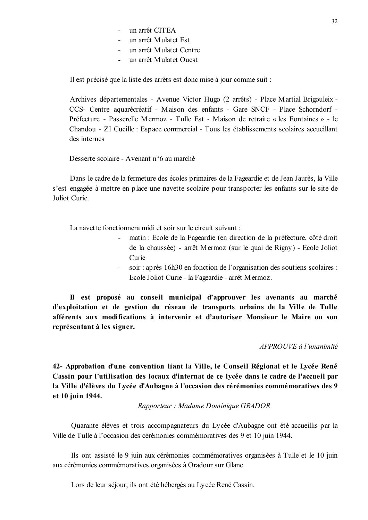- un arrêt CITEA
- un arrêt Mulatet Est
- un arrêt Mulatet Centre
- un arrêt Mulatet Ouest  $\Delta \sim 10^4$

Il est précisé que la liste des arrêts est donc mise à jour comme suit :

Archives départementales - Avenue Victor Hugo (2 arrêts) - Place Martial Brigouleix -CCS- Centre aquarécréatif - Maison des enfants - Gare SNCF - Place Schorndorf -Préfecture - Passerelle Mermoz - Tulle Est - Maison de retraite « les Fontaines » - le Chandou - ZI Cueille : Espace commercial - Tous les établissements scolaires accueillant des internes

Desserte scolaire - Avenant n°6 au marché

Dans le cadre de la fermeture des écoles primaires de la Fageardie et de Jean Jaurès, la Ville s'est engagée à mettre en place une navette scolaire pour transporter les enfants sur le site de Joliot Curie

La navette fonctionnera midi et soir sur le circuit suivant :

- matin : Ecole de la Fageardie (en direction de la préfecture, côté droit de la chaussée) - arrêt Mermoz (sur le quai de Rigny) - Ecole Joliot Curie
- soir : après 16h30 en fonction de l'organisation des soutiens scolaires :  $\omega_{\rm{max}}$ Ecole Joliot Curie - la Fageardie - arrêt Mermoz.

Il est proposé au conseil municipal d'approuver les avenants au marché d'exploitation et de gestion du réseau de transports urbains de la Ville de Tulle afférents aux modifications à intervenir et d'autoriser Monsieur le Maire ou son représentant à les signer.

#### APPROUVE à l'unanimité

42- Approbation d'une convention liant la Ville, le Conseil Régional et le Lycée René Cassin pour l'utilisation des locaux d'internat de ce lycée dans le cadre de l'accueil par la Ville d'élèves du Lycée d'Aubagne à l'occasion des cérémonies commémoratives des 9 et 10 juin 1944.

Rapporteur : Madame Dominique GRADOR

Quarante élèves et trois accompagnateurs du Lycée d'Aubagne ont été accueillis par la Ville de Tulle à l'occasion des cérémonies commémoratives des 9 et 10 juin 1944.

Ils ont assisté le 9 juin aux cérémonies commémoratives organisées à Tulle et le 10 juin aux cérémonies commémoratives organisées à Oradour sur Glane.

Lors de leur séjour, ils ont été hébergés au Lycée René Cassin.